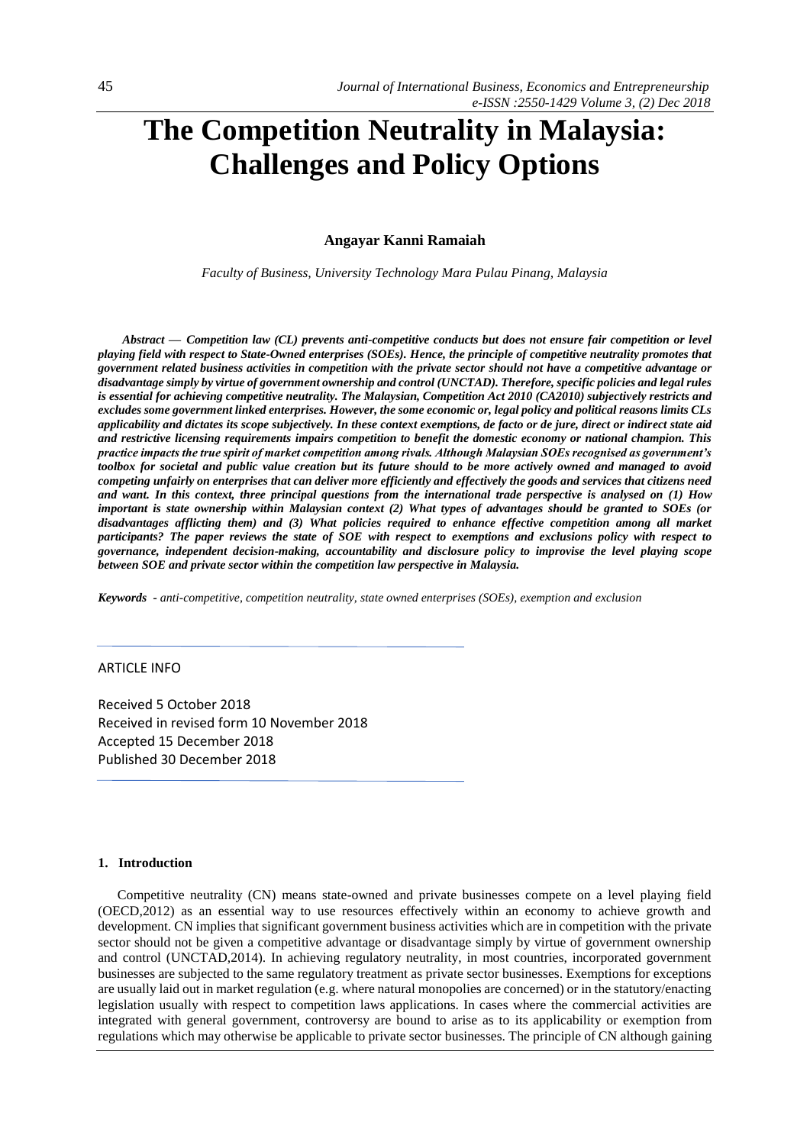# **The Competition Neutrality in Malaysia: Challenges and Policy Options**

**Angayar Kanni Ramaiah**

*Faculty of Business, University Technology Mara Pulau Pinang, Malaysia*

*Abstract — Competition law (CL) prevents anti-competitive conducts but does not ensure fair competition or level playing field with respect to State-Owned enterprises (SOEs). Hence, the principle of competitive neutrality promotes that government related business activities in competition with the private sector should not have a competitive advantage or disadvantage simply by virtue of government ownership and control (UNCTAD). Therefore, specific policies and legal rules is essential for achieving competitive neutrality. The Malaysian, Competition Act 2010 (CA2010) subjectively restricts and excludes some government linked enterprises. However, the some economic or, legal policy and political reasons limits CLs applicability and dictates its scope subjectively. In these context exemptions, de facto or de jure, direct or indirect state aid and restrictive licensing requirements impairs competition to benefit the domestic economy or national champion. This practice impacts the true spirit of market competition among rivals. Although Malaysian SOEs recognised as government's*  toolbox for societal and public value creation but its future should to be more actively owned and managed to avoid *competing unfairly on enterprises that can deliver more efficiently and effectively the goods and services that citizens need and want. In this context, three principal questions from the international trade perspective is analysed on (1) How important is state ownership within Malaysian context (2) What types of advantages should be granted to SOEs (or disadvantages afflicting them) and (3) What policies required to enhance effective competition among all market participants? The paper reviews the state of SOE with respect to exemptions and exclusions policy with respect to governance, independent decision-making, accountability and disclosure policy to improvise the level playing scope between SOE and private sector within the competition law perspective in Malaysia.* 

*Keywords - anti-competitive, competition neutrality, state owned enterprises (SOEs), exemption and exclusion*

# ARTICLE INFO

Received 5 October 2018 Received in revised form 10 November 2018 Accepted 15 December 2018 Published 30 December 2018

#### **1. Introduction**

Competitive neutrality (CN) means state-owned and private businesses compete on a level playing field (OECD,2012) as an essential way to use resources effectively within an economy to achieve growth and development. CN implies that significant government business activities which are in competition with the private sector should not be given a competitive advantage or disadvantage simply by virtue of government ownership and control (UNCTAD,2014). In achieving regulatory neutrality, in most countries, incorporated government businesses are subjected to the same regulatory treatment as private sector businesses. Exemptions for exceptions are usually laid out in market regulation (e.g. where natural monopolies are concerned) or in the statutory/enacting legislation usually with respect to competition laws applications. In cases where the commercial activities are integrated with general government, controversy are bound to arise as to its applicability or exemption from regulations which may otherwise be applicable to private sector businesses. The principle of CN although gaining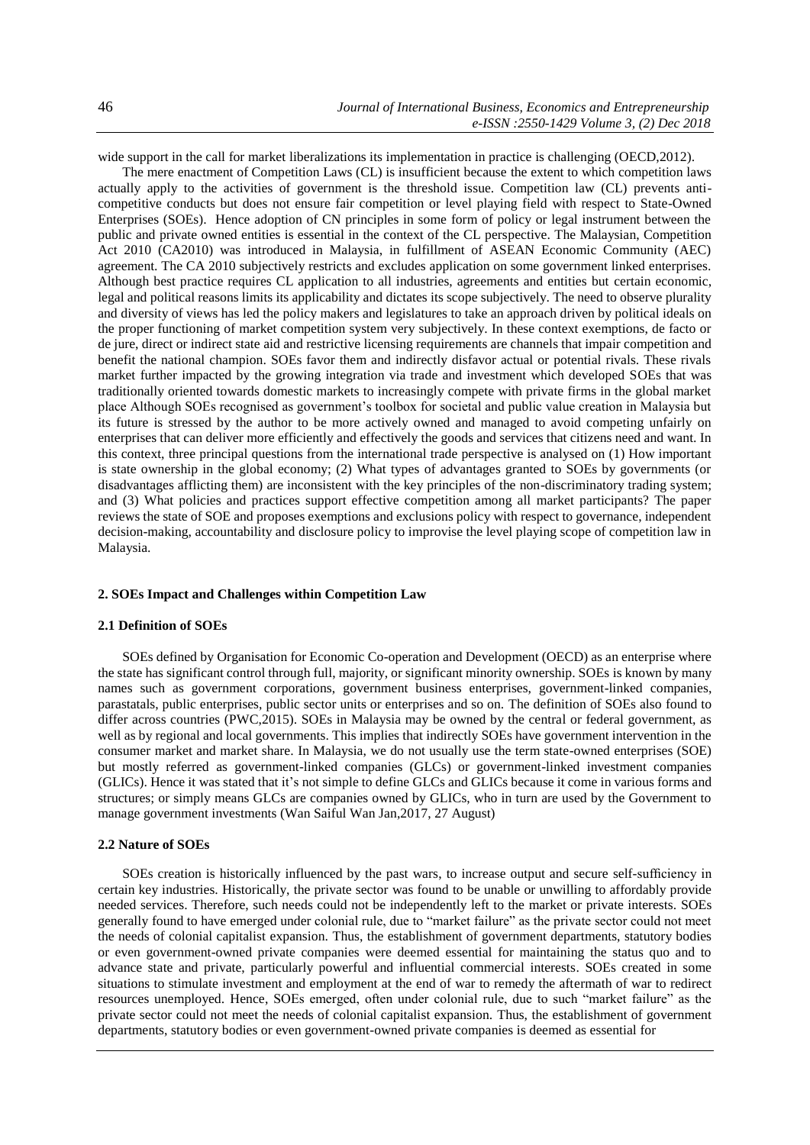wide support in the call for market liberalizations its implementation in practice is challenging (OECD,2012).

The mere enactment of Competition Laws (CL) is insufficient because the extent to which competition laws actually apply to the activities of government is the threshold issue. Competition law (CL) prevents anticompetitive conducts but does not ensure fair competition or level playing field with respect to State-Owned Enterprises (SOEs). Hence adoption of CN principles in some form of policy or legal instrument between the public and private owned entities is essential in the context of the CL perspective. The Malaysian, Competition Act 2010 (CA2010) was introduced in Malaysia, in fulfillment of ASEAN Economic Community (AEC) agreement. The CA 2010 subjectively restricts and excludes application on some government linked enterprises. Although best practice requires CL application to all industries, agreements and entities but certain economic, legal and political reasons limits its applicability and dictates its scope subjectively. The need to observe plurality and diversity of views has led the policy makers and legislatures to take an approach driven by political ideals on the proper functioning of market competition system very subjectively. In these context exemptions, de facto or de jure, direct or indirect state aid and restrictive licensing requirements are channels that impair competition and benefit the national champion. SOEs favor them and indirectly disfavor actual or potential rivals. These rivals market further impacted by the growing integration via trade and investment which developed SOEs that was traditionally oriented towards domestic markets to increasingly compete with private firms in the global market place Although SOEs recognised as government's toolbox for societal and public value creation in Malaysia but its future is stressed by the author to be more actively owned and managed to avoid competing unfairly on enterprises that can deliver more efficiently and effectively the goods and services that citizens need and want. In this context, three principal questions from the international trade perspective is analysed on (1) How important is state ownership in the global economy; (2) What types of advantages granted to SOEs by governments (or disadvantages afflicting them) are inconsistent with the key principles of the non-discriminatory trading system; and (3) What policies and practices support effective competition among all market participants? The paper reviews the state of SOE and proposes exemptions and exclusions policy with respect to governance, independent decision-making, accountability and disclosure policy to improvise the level playing scope of competition law in Malaysia.

# **2. SOEs Impact and Challenges within Competition Law**

#### **2.1 Definition of SOEs**

SOEs defined by Organisation for Economic Co-operation and Development (OECD) as an enterprise where the state has significant control through full, majority, or significant minority ownership. SOEs is known by many names such as government corporations, government business enterprises, government-linked companies, parastatals, public enterprises, public sector units or enterprises and so on. The definition of SOEs also found to differ across countries (PWC,2015). SOEs in Malaysia may be owned by the central or federal government, as well as by regional and local governments. This implies that indirectly SOEs have government intervention in the consumer market and market share. In Malaysia, we do not usually use the term state-owned enterprises (SOE) but mostly referred as government-linked companies (GLCs) or government-linked investment companies (GLICs). Hence it was stated that it's not simple to define GLCs and GLICs because it come in various forms and structures; or simply means GLCs are companies owned by GLICs, who in turn are used by the Government to manage government investments (Wan Saiful Wan Jan,2017, 27 August)

## **2.2 Nature of SOEs**

SOEs creation is historically influenced by the past wars, to increase output and secure self-sufficiency in certain key industries. Historically, the private sector was found to be unable or unwilling to affordably provide needed services. Therefore, such needs could not be independently left to the market or private interests. SOEs generally found to have emerged under colonial rule, due to "market failure" as the private sector could not meet the needs of colonial capitalist expansion. Thus, the establishment of government departments, statutory bodies or even government-owned private companies were deemed essential for maintaining the status quo and to advance state and private, particularly powerful and influential commercial interests. SOEs created in some situations to stimulate investment and employment at the end of war to remedy the aftermath of war to redirect resources unemployed. Hence, SOEs emerged, often under colonial rule, due to such "market failure" as the private sector could not meet the needs of colonial capitalist expansion. Thus, the establishment of government departments, statutory bodies or even government-owned private companies is deemed as essential for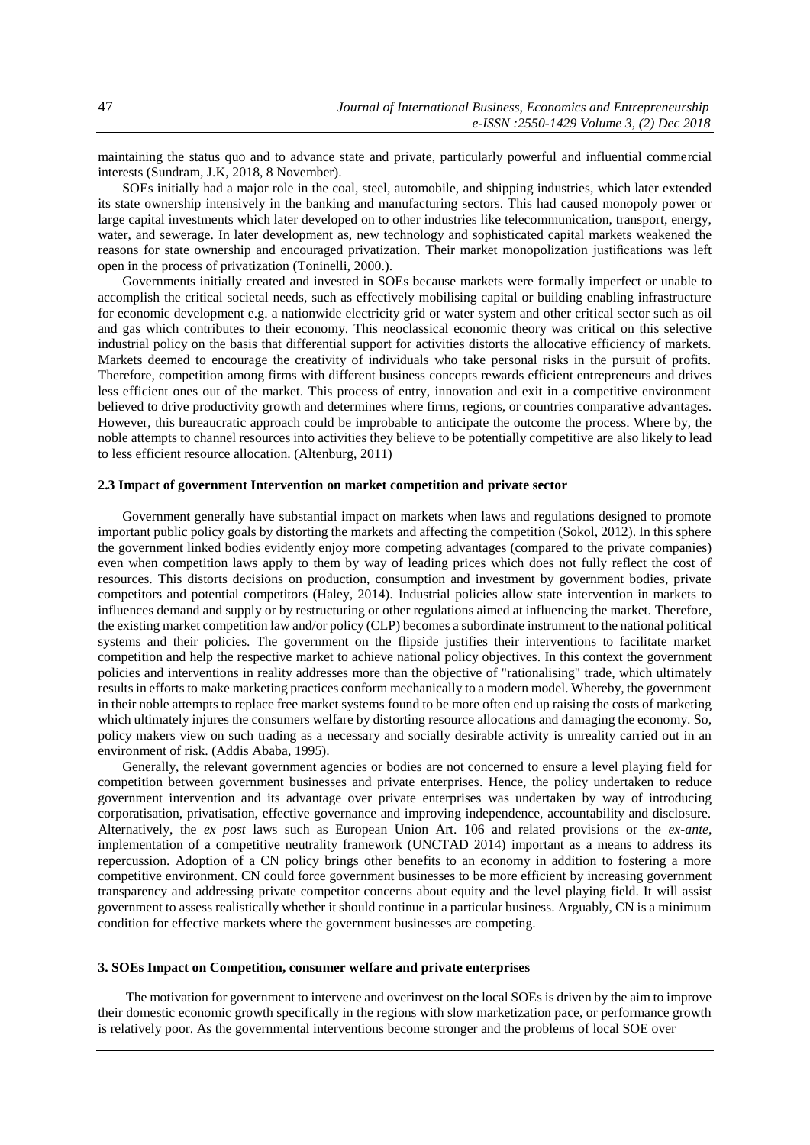maintaining the status quo and to advance state and private, particularly powerful and influential commercial interests (Sundram, J.K, 2018, 8 November).

SOEs initially had a major role in the coal, steel, automobile, and shipping industries, which later extended its state ownership intensively in the banking and manufacturing sectors. This had caused monopoly power or large capital investments which later developed on to other industries like telecommunication, transport, energy, water, and sewerage. In later development as, new technology and sophisticated capital markets weakened the reasons for state ownership and encouraged privatization. Their market monopolization justifications was left open in the process of privatization (Toninelli, 2000.).

Governments initially created and invested in SOEs because markets were formally imperfect or unable to accomplish the critical societal needs, such as effectively mobilising capital or building enabling infrastructure for economic development e.g. a nationwide electricity grid or water system and other critical sector such as oil and gas which contributes to their economy. This neoclassical economic theory was critical on this selective industrial policy on the basis that differential support for activities distorts the allocative efficiency of markets. Markets deemed to encourage the creativity of individuals who take personal risks in the pursuit of profits. Therefore, competition among firms with different business concepts rewards efficient entrepreneurs and drives less efficient ones out of the market. This process of entry, innovation and exit in a competitive environment believed to drive productivity growth and determines where firms, regions, or countries comparative advantages. However, this bureaucratic approach could be improbable to anticipate the outcome the process. Where by, the noble attempts to channel resources into activities they believe to be potentially competitive are also likely to lead to less efficient resource allocation. (Altenburg, 2011)

# **2.3 Impact of government Intervention on market competition and private sector**

Government generally have substantial impact on markets when laws and regulations designed to promote important public policy goals by distorting the markets and affecting the competition (Sokol, 2012). In this sphere the government linked bodies evidently enjoy more competing advantages (compared to the private companies) even when competition laws apply to them by way of leading prices which does not fully reflect the cost of resources. This distorts decisions on production, consumption and investment by government bodies, private competitors and potential competitors (Haley, 2014). Industrial policies allow state intervention in markets to influences demand and supply or by restructuring or other regulations aimed at influencing the market. Therefore, the existing market competition law and/or policy (CLP) becomes a subordinate instrument to the national political systems and their policies. The government on the flipside justifies their interventions to facilitate market competition and help the respective market to achieve national policy objectives. In this context the government policies and interventions in reality addresses more than the objective of "rationalising" trade, which ultimately results in efforts to make marketing practices conform mechanically to a modern model. Whereby, the government in their noble attempts to replace free market systems found to be more often end up raising the costs of marketing which ultimately injures the consumers welfare by distorting resource allocations and damaging the economy. So, policy makers view on such trading as a necessary and socially desirable activity is unreality carried out in an environment of risk. (Addis Ababa, 1995).

Generally, the relevant government agencies or bodies are not concerned to ensure a level playing field for competition between government businesses and private enterprises. Hence, the policy undertaken to reduce government intervention and its advantage over private enterprises was undertaken by way of introducing corporatisation, privatisation, effective governance and improving independence, accountability and disclosure. Alternatively, the *ex post* laws such as European Union Art. 106 and related provisions or the *ex-ante*, implementation of a competitive neutrality framework (UNCTAD 2014) important as a means to address its repercussion. Adoption of a CN policy brings other benefits to an economy in addition to fostering a more competitive environment. CN could force government businesses to be more efficient by increasing government transparency and addressing private competitor concerns about equity and the level playing field. It will assist government to assess realistically whether it should continue in a particular business. Arguably, CN is a minimum condition for effective markets where the government businesses are competing.

#### **3. SOEs Impact on Competition, consumer welfare and private enterprises**

The motivation for government to intervene and overinvest on the local SOEs is driven by the aim to improve their domestic economic growth specifically in the regions with slow marketization pace, or performance growth is relatively poor. As the governmental interventions become stronger and the problems of local SOE over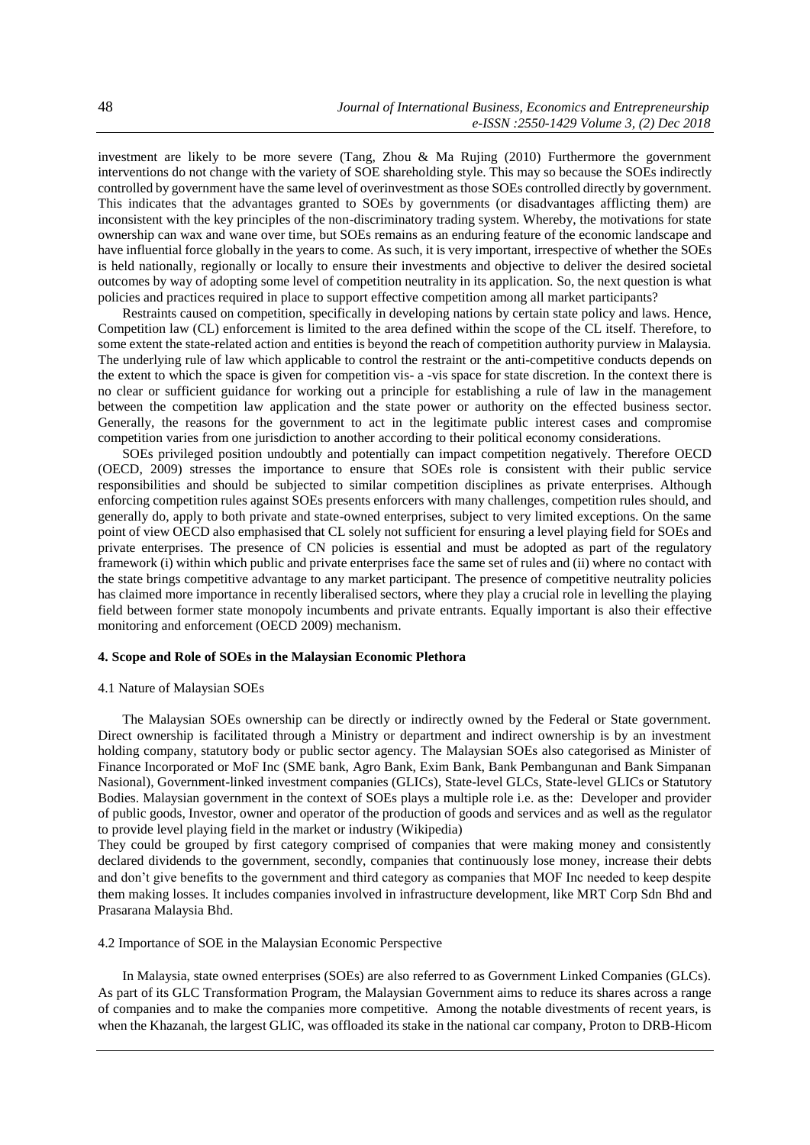investment are likely to be more severe (Tang, Zhou & Ma Rujing (2010) Furthermore the government interventions do not change with the variety of SOE shareholding style. This may so because the SOEs indirectly controlled by government have the same level of overinvestment as those SOEs controlled directly by government. This indicates that the advantages granted to SOEs by governments (or disadvantages afflicting them) are inconsistent with the key principles of the non-discriminatory trading system. Whereby, the motivations for state ownership can wax and wane over time, but SOEs remains as an enduring feature of the economic landscape and have influential force globally in the years to come. As such, it is very important, irrespective of whether the SOEs is held nationally, regionally or locally to ensure their investments and objective to deliver the desired societal outcomes by way of adopting some level of competition neutrality in its application. So, the next question is what policies and practices required in place to support effective competition among all market participants?

Restraints caused on competition, specifically in developing nations by certain state policy and laws. Hence, Competition law (CL) enforcement is limited to the area defined within the scope of the CL itself. Therefore, to some extent the state-related action and entities is beyond the reach of competition authority purview in Malaysia. The underlying rule of law which applicable to control the restraint or the anti-competitive conducts depends on the extent to which the space is given for competition vis- a -vis space for state discretion. In the context there is no clear or sufficient guidance for working out a principle for establishing a rule of law in the management between the competition law application and the state power or authority on the effected business sector. Generally, the reasons for the government to act in the legitimate public interest cases and compromise competition varies from one jurisdiction to another according to their political economy considerations.

SOEs privileged position undoubtly and potentially can impact competition negatively. Therefore OECD (OECD, 2009) stresses the importance to ensure that SOEs role is consistent with their public service responsibilities and should be subjected to similar competition disciplines as private enterprises. Although enforcing competition rules against SOEs presents enforcers with many challenges, competition rules should, and generally do, apply to both private and state-owned enterprises, subject to very limited exceptions. On the same point of view OECD also emphasised that CL solely not sufficient for ensuring a level playing field for SOEs and private enterprises. The presence of CN policies is essential and must be adopted as part of the regulatory framework (i) within which public and private enterprises face the same set of rules and (ii) where no contact with the state brings competitive advantage to any market participant. The presence of competitive neutrality policies has claimed more importance in recently liberalised sectors, where they play a crucial role in levelling the playing field between former state monopoly incumbents and private entrants. Equally important is also their effective monitoring and enforcement (OECD 2009) mechanism.

# **4. Scope and Role of SOEs in the Malaysian Economic Plethora**

#### 4.1 Nature of Malaysian SOEs

The Malaysian SOEs ownership can be directly or indirectly owned by the Federal or State government. Direct ownership is facilitated through a Ministry or department and indirect ownership is by an investment holding company, statutory body or public sector agency. The Malaysian SOEs also categorised as Minister of Finance Incorporated or MoF Inc (SME bank, Agro Bank, Exim Bank, Bank Pembangunan and Bank Simpanan Nasional), Government-linked investment companies (GLICs), State-level GLCs, State-level GLICs or Statutory Bodies. Malaysian government in the context of SOEs plays a multiple role i.e. as the: Developer and provider of public goods, Investor, owner and operator of the production of goods and services and as well as the regulator to provide level playing field in the market or industry (Wikipedia)

They could be grouped by first category comprised of companies that were making money and consistently declared dividends to the government, secondly, companies that continuously lose money, increase their debts and don't give benefits to the government and third category as companies that MOF Inc needed to keep despite them making losses. It includes companies involved in infrastructure development, like MRT Corp Sdn Bhd and Prasarana Malaysia Bhd.

4.2 Importance of SOE in the Malaysian Economic Perspective

In Malaysia, state owned enterprises (SOEs) are also referred to as Government Linked Companies (GLCs). As part of its GLC Transformation Program, the Malaysian Government aims to reduce its shares across a range of companies and to make the companies more competitive. Among the notable divestments of recent years, is when the Khazanah, the largest GLIC, was offloaded its stake in the national car company, Proton to DRB-Hicom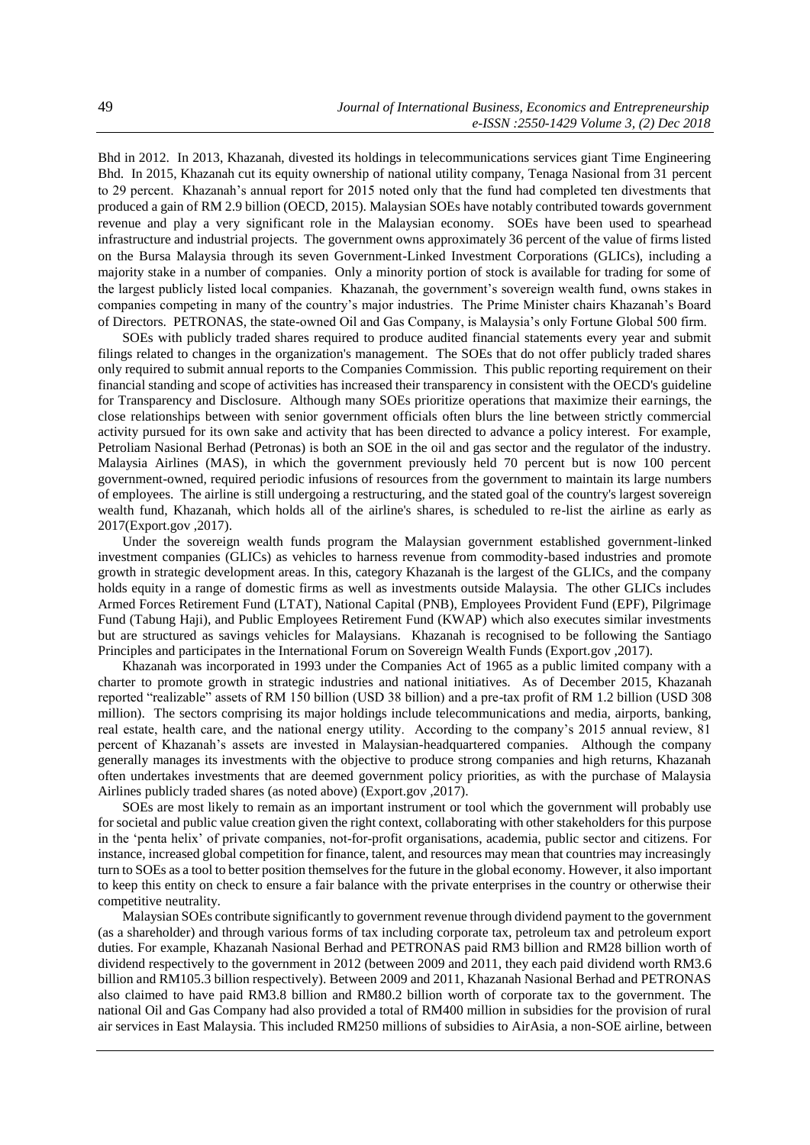Bhd in 2012. In 2013, Khazanah, divested its holdings in telecommunications services giant Time Engineering Bhd. In 2015, Khazanah cut its equity ownership of national utility company, Tenaga Nasional from 31 percent to 29 percent. Khazanah's annual report for 2015 noted only that the fund had completed ten divestments that produced a gain of RM 2.9 billion (OECD, 2015). Malaysian SOEs have notably contributed towards government revenue and play a very significant role in the Malaysian economy. SOEs have been used to spearhead infrastructure and industrial projects. The government owns approximately 36 percent of the value of firms listed on the Bursa Malaysia through its seven Government-Linked Investment Corporations (GLICs), including a majority stake in a number of companies. Only a minority portion of stock is available for trading for some of the largest publicly listed local companies. Khazanah, the government's sovereign wealth fund, owns stakes in companies competing in many of the country's major industries. The Prime Minister chairs Khazanah's Board of Directors. PETRONAS, the state-owned Oil and Gas Company, is Malaysia's only Fortune Global 500 firm.

SOEs with publicly traded shares required to produce audited financial statements every year and submit filings related to changes in the organization's management. The SOEs that do not offer publicly traded shares only required to submit annual reports to the Companies Commission. This public reporting requirement on their financial standing and scope of activities has increased their transparency in consistent with the OECD's guideline for Transparency and Disclosure. Although many SOEs prioritize operations that maximize their earnings, the close relationships between with senior government officials often blurs the line between strictly commercial activity pursued for its own sake and activity that has been directed to advance a policy interest. For example, Petroliam Nasional Berhad (Petronas) is both an SOE in the oil and gas sector and the regulator of the industry. Malaysia Airlines (MAS), in which the government previously held 70 percent but is now 100 percent government-owned, required periodic infusions of resources from the government to maintain its large numbers of employees. The airline is still undergoing a restructuring, and the stated goal of the country's largest sovereign wealth fund, Khazanah, which holds all of the airline's shares, is scheduled to re-list the airline as early as 2017(Export.gov ,2017).

Under the sovereign wealth funds program the Malaysian government established government-linked investment companies (GLICs) as vehicles to harness revenue from commodity-based industries and promote growth in strategic development areas. In this, category Khazanah is the largest of the GLICs, and the company holds equity in a range of domestic firms as well as investments outside Malaysia. The other GLICs includes Armed Forces Retirement Fund (LTAT), National Capital (PNB), Employees Provident Fund (EPF), Pilgrimage Fund (Tabung Haji), and Public Employees Retirement Fund (KWAP) which also executes similar investments but are structured as savings vehicles for Malaysians. Khazanah is recognised to be following the Santiago Principles and participates in the International Forum on Sovereign Wealth Funds (Export.gov ,2017).

Khazanah was incorporated in 1993 under the Companies Act of 1965 as a public limited company with a charter to promote growth in strategic industries and national initiatives. As of December 2015, Khazanah reported "realizable" assets of RM 150 billion (USD 38 billion) and a pre-tax profit of RM 1.2 billion (USD 308 million). The sectors comprising its major holdings include telecommunications and media, airports, banking, real estate, health care, and the national energy utility. According to the company's 2015 annual review, 81 percent of Khazanah's assets are invested in Malaysian-headquartered companies. Although the company generally manages its investments with the objective to produce strong companies and high returns, Khazanah often undertakes investments that are deemed government policy priorities, as with the purchase of Malaysia Airlines publicly traded shares (as noted above) (Export.gov ,2017).

SOEs are most likely to remain as an important instrument or tool which the government will probably use for societal and public value creation given the right context, collaborating with other stakeholders for this purpose in the 'penta helix' of private companies, not-for-profit organisations, academia, public sector and citizens. For instance, increased global competition for finance, talent, and resources may mean that countries may increasingly turn to SOEs as a tool to better position themselves for the future in the global economy. However, it also important to keep this entity on check to ensure a fair balance with the private enterprises in the country or otherwise their competitive neutrality.

Malaysian SOEs contribute significantly to government revenue through dividend payment to the government (as a shareholder) and through various forms of tax including corporate tax, petroleum tax and petroleum export duties. For example, Khazanah Nasional Berhad and PETRONAS paid RM3 billion and RM28 billion worth of dividend respectively to the government in 2012 (between 2009 and 2011, they each paid dividend worth RM3.6 billion and RM105.3 billion respectively). Between 2009 and 2011, Khazanah Nasional Berhad and PETRONAS also claimed to have paid RM3.8 billion and RM80.2 billion worth of corporate tax to the government. The national Oil and Gas Company had also provided a total of RM400 million in subsidies for the provision of rural air services in East Malaysia. This included RM250 millions of subsidies to AirAsia, a non-SOE airline, between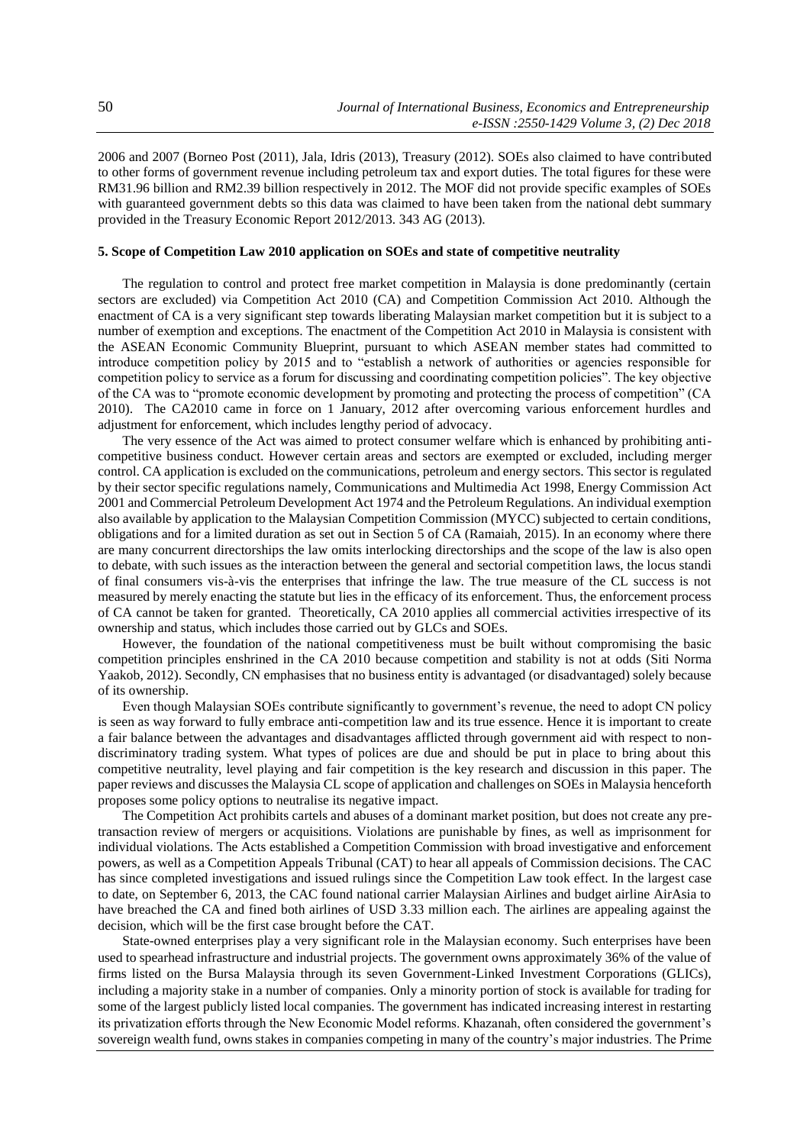2006 and 2007 (Borneo Post (2011), Jala, Idris (2013), Treasury (2012). SOEs also claimed to have contributed to other forms of government revenue including petroleum tax and export duties. The total figures for these were RM31.96 billion and RM2.39 billion respectively in 2012. The MOF did not provide specific examples of SOEs with guaranteed government debts so this data was claimed to have been taken from the national debt summary provided in the Treasury Economic Report 2012/2013. 343 AG (2013).

#### **5. Scope of Competition Law 2010 application on SOEs and state of competitive neutrality**

The regulation to control and protect free market competition in Malaysia is done predominantly (certain sectors are excluded) via Competition Act 2010 (CA) and Competition Commission Act 2010. Although the enactment of CA is a very significant step towards liberating Malaysian market competition but it is subject to a number of exemption and exceptions. The enactment of the Competition Act 2010 in Malaysia is consistent with the ASEAN Economic Community Blueprint, pursuant to which ASEAN member states had committed to introduce competition policy by 2015 and to "establish a network of authorities or agencies responsible for competition policy to service as a forum for discussing and coordinating competition policies". The key objective of the CA was to "promote economic development by promoting and protecting the process of competition" (CA 2010). The CA2010 came in force on 1 January, 2012 after overcoming various enforcement hurdles and adjustment for enforcement, which includes lengthy period of advocacy.

The very essence of the Act was aimed to protect consumer welfare which is enhanced by prohibiting anticompetitive business conduct. However certain areas and sectors are exempted or excluded, including merger control. CA application is excluded on the communications, petroleum and energy sectors. This sector is regulated by their sector specific regulations namely, Communications and Multimedia Act 1998, Energy Commission Act 2001 and Commercial Petroleum Development Act 1974 and the Petroleum Regulations. An individual exemption also available by application to the Malaysian Competition Commission (MYCC) subjected to certain conditions, obligations and for a limited duration as set out in Section 5 of CA (Ramaiah, 2015). In an economy where there are many concurrent directorships the law omits interlocking directorships and the scope of the law is also open to debate, with such issues as the interaction between the general and sectorial competition laws, the locus standi of final consumers vis-à-vis the enterprises that infringe the law. The true measure of the CL success is not measured by merely enacting the statute but lies in the efficacy of its enforcement. Thus, the enforcement process of CA cannot be taken for granted. Theoretically, CA 2010 applies all commercial activities irrespective of its ownership and status, which includes those carried out by GLCs and SOEs.

However, the foundation of the national competitiveness must be built without compromising the basic competition principles enshrined in the CA 2010 because competition and stability is not at odds (Siti Norma Yaakob, 2012). Secondly, CN emphasises that no business entity is advantaged (or disadvantaged) solely because of its ownership.

Even though Malaysian SOEs contribute significantly to government's revenue, the need to adopt CN policy is seen as way forward to fully embrace anti-competition law and its true essence. Hence it is important to create a fair balance between the advantages and disadvantages afflicted through government aid with respect to nondiscriminatory trading system. What types of polices are due and should be put in place to bring about this competitive neutrality, level playing and fair competition is the key research and discussion in this paper. The paper reviews and discusses the Malaysia CL scope of application and challenges on SOEs in Malaysia henceforth proposes some policy options to neutralise its negative impact.

The Competition Act prohibits cartels and abuses of a dominant market position, but does not create any pretransaction review of mergers or acquisitions. Violations are punishable by fines, as well as imprisonment for individual violations. The Acts established a Competition Commission with broad investigative and enforcement powers, as well as a Competition Appeals Tribunal (CAT) to hear all appeals of Commission decisions. The CAC has since completed investigations and issued rulings since the Competition Law took effect. In the largest case to date, on September 6, 2013, the CAC found national carrier Malaysian Airlines and budget airline AirAsia to have breached the CA and fined both airlines of USD 3.33 million each. The airlines are appealing against the decision, which will be the first case brought before the CAT.

State-owned enterprises play a very significant role in the Malaysian economy. Such enterprises have been used to spearhead infrastructure and industrial projects. The government owns approximately 36% of the value of firms listed on the Bursa Malaysia through its seven Government-Linked Investment Corporations (GLICs), including a majority stake in a number of companies. Only a minority portion of stock is available for trading for some of the largest publicly listed local companies. The government has indicated increasing interest in restarting its privatization efforts through the New Economic Model reforms. Khazanah, often considered the government's sovereign wealth fund, owns stakes in companies competing in many of the country's major industries. The Prime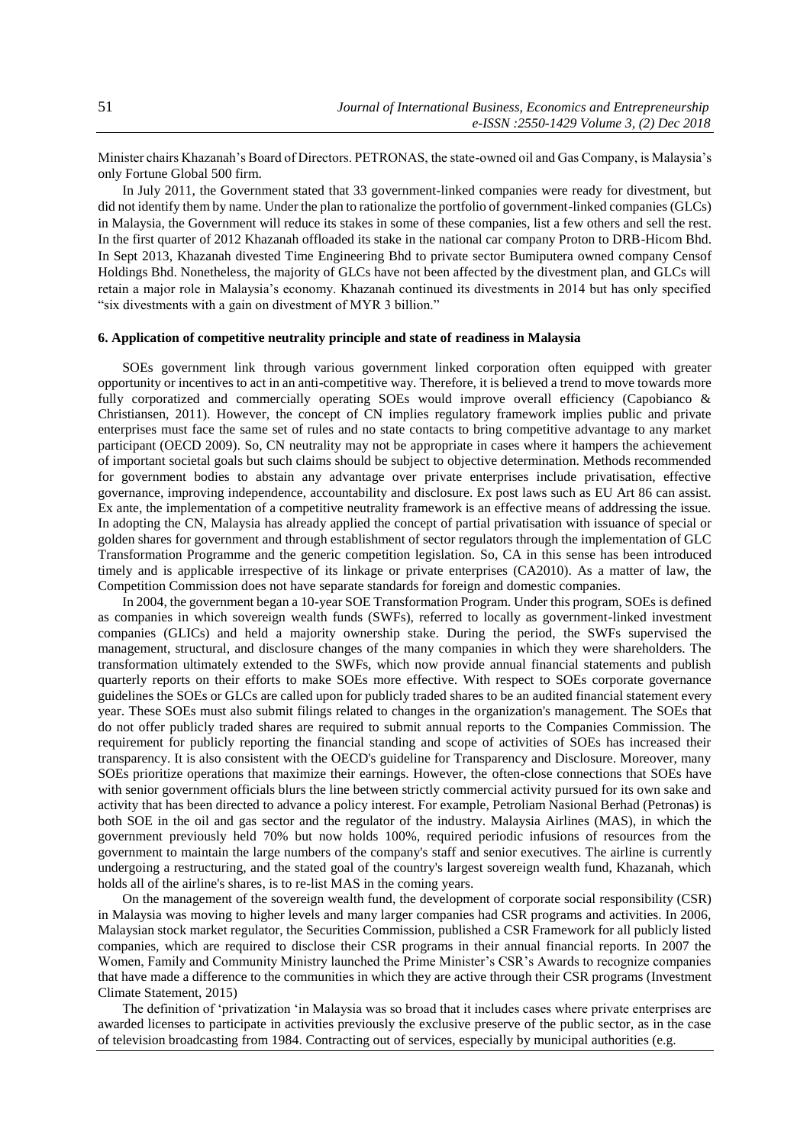Minister chairs Khazanah's Board of Directors. PETRONAS, the state-owned oil and Gas Company, is Malaysia's only Fortune Global 500 firm.

In July 2011, the Government stated that 33 government-linked companies were ready for divestment, but did not identify them by name. Under the plan to rationalize the portfolio of government-linked companies (GLCs) in Malaysia, the Government will reduce its stakes in some of these companies, list a few others and sell the rest. In the first quarter of 2012 Khazanah offloaded its stake in the national car company Proton to DRB-Hicom Bhd. In Sept 2013, Khazanah divested Time Engineering Bhd to private sector Bumiputera owned company Censof Holdings Bhd. Nonetheless, the majority of GLCs have not been affected by the divestment plan, and GLCs will retain a major role in Malaysia's economy. Khazanah continued its divestments in 2014 but has only specified "six divestments with a gain on divestment of MYR 3 billion."

# **6. Application of competitive neutrality principle and state of readiness in Malaysia**

SOEs government link through various government linked corporation often equipped with greater opportunity or incentives to act in an anti-competitive way. Therefore, it is believed a trend to move towards more fully corporatized and commercially operating SOEs would improve overall efficiency (Capobianco & Christiansen, 2011). However, the concept of CN implies regulatory framework implies public and private enterprises must face the same set of rules and no state contacts to bring competitive advantage to any market participant (OECD 2009). So, CN neutrality may not be appropriate in cases where it hampers the achievement of important societal goals but such claims should be subject to objective determination. Methods recommended for government bodies to abstain any advantage over private enterprises include privatisation, effective governance, improving independence, accountability and disclosure. Ex post laws such as EU Art 86 can assist. Ex ante, the implementation of a competitive neutrality framework is an effective means of addressing the issue. In adopting the CN, Malaysia has already applied the concept of partial privatisation with issuance of special or golden shares for government and through establishment of sector regulators through the implementation of GLC Transformation Programme and the generic competition legislation. So, CA in this sense has been introduced timely and is applicable irrespective of its linkage or private enterprises (CA2010). As a matter of law, the Competition Commission does not have separate standards for foreign and domestic companies.

In 2004, the government began a 10-year SOE Transformation Program. Under this program, SOEs is defined as companies in which sovereign wealth funds (SWFs), referred to locally as government-linked investment companies (GLICs) and held a majority ownership stake. During the period, the SWFs supervised the management, structural, and disclosure changes of the many companies in which they were shareholders. The transformation ultimately extended to the SWFs, which now provide annual financial statements and publish quarterly reports on their efforts to make SOEs more effective. With respect to SOEs corporate governance guidelines the SOEs or GLCs are called upon for publicly traded shares to be an audited financial statement every year. These SOEs must also submit filings related to changes in the organization's management. The SOEs that do not offer publicly traded shares are required to submit annual reports to the Companies Commission. The requirement for publicly reporting the financial standing and scope of activities of SOEs has increased their transparency. It is also consistent with the OECD's guideline for Transparency and Disclosure. Moreover, many SOEs prioritize operations that maximize their earnings. However, the often-close connections that SOEs have with senior government officials blurs the line between strictly commercial activity pursued for its own sake and activity that has been directed to advance a policy interest. For example, Petroliam Nasional Berhad (Petronas) is both SOE in the oil and gas sector and the regulator of the industry. Malaysia Airlines (MAS), in which the government previously held 70% but now holds 100%, required periodic infusions of resources from the government to maintain the large numbers of the company's staff and senior executives. The airline is currently undergoing a restructuring, and the stated goal of the country's largest sovereign wealth fund, Khazanah, which holds all of the airline's shares, is to re-list MAS in the coming years.

On the management of the sovereign wealth fund, the development of corporate social responsibility (CSR) in Malaysia was moving to higher levels and many larger companies had CSR programs and activities. In 2006, Malaysian stock market regulator, the Securities Commission, published a CSR Framework for all publicly listed companies, which are required to disclose their CSR programs in their annual financial reports. In 2007 the Women, Family and Community Ministry launched the Prime Minister's CSR's Awards to recognize companies that have made a difference to the communities in which they are active through their CSR programs (Investment Climate Statement, 2015)

The definition of 'privatization 'in Malaysia was so broad that it includes cases where private enterprises are awarded licenses to participate in activities previously the exclusive preserve of the public sector, as in the case of television broadcasting from 1984. Contracting out of services, especially by municipal authorities (e.g.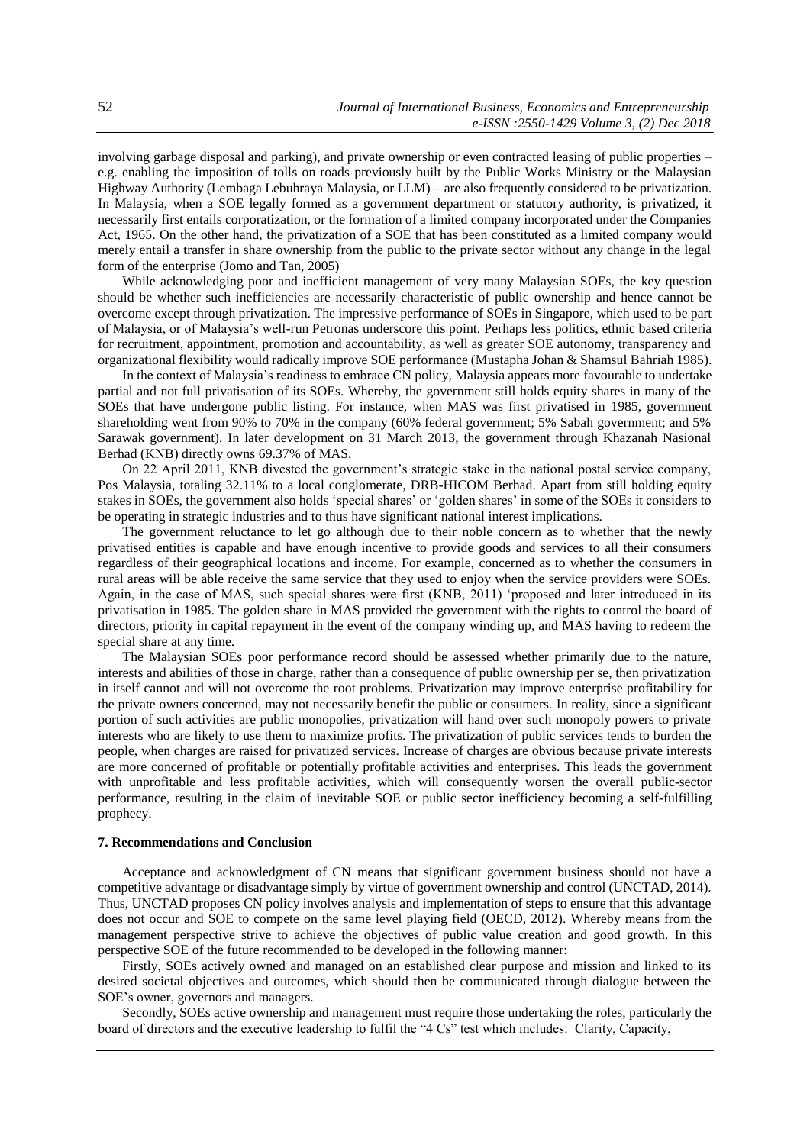involving garbage disposal and parking), and private ownership or even contracted leasing of public properties – e.g. enabling the imposition of tolls on roads previously built by the Public Works Ministry or the Malaysian Highway Authority (Lembaga Lebuhraya Malaysia, or LLM) – are also frequently considered to be privatization. In Malaysia, when a SOE legally formed as a government department or statutory authority, is privatized, it necessarily first entails corporatization, or the formation of a limited company incorporated under the Companies Act, 1965. On the other hand, the privatization of a SOE that has been constituted as a limited company would merely entail a transfer in share ownership from the public to the private sector without any change in the legal form of the enterprise (Jomo and Tan, 2005)

While acknowledging poor and inefficient management of very many Malaysian SOEs, the key question should be whether such inefficiencies are necessarily characteristic of public ownership and hence cannot be overcome except through privatization. The impressive performance of SOEs in Singapore, which used to be part of Malaysia, or of Malaysia's well-run Petronas underscore this point. Perhaps less politics, ethnic based criteria for recruitment, appointment, promotion and accountability, as well as greater SOE autonomy, transparency and organizational flexibility would radically improve SOE performance (Mustapha Johan & Shamsul Bahriah 1985).

In the context of Malaysia's readiness to embrace CN policy, Malaysia appears more favourable to undertake partial and not full privatisation of its SOEs. Whereby, the government still holds equity shares in many of the SOEs that have undergone public listing. For instance, when MAS was first privatised in 1985, government shareholding went from 90% to 70% in the company (60% federal government; 5% Sabah government; and 5% Sarawak government). In later development on 31 March 2013, the government through Khazanah Nasional Berhad (KNB) directly owns 69.37% of MAS.

On 22 April 2011, KNB divested the government's strategic stake in the national postal service company, Pos Malaysia, totaling 32.11% to a local conglomerate, DRB-HICOM Berhad. Apart from still holding equity stakes in SOEs, the government also holds 'special shares' or 'golden shares' in some of the SOEs it considers to be operating in strategic industries and to thus have significant national interest implications.

The government reluctance to let go although due to their noble concern as to whether that the newly privatised entities is capable and have enough incentive to provide goods and services to all their consumers regardless of their geographical locations and income. For example, concerned as to whether the consumers in rural areas will be able receive the same service that they used to enjoy when the service providers were SOEs. Again, in the case of MAS, such special shares were first (KNB, 2011) 'proposed and later introduced in its privatisation in 1985. The golden share in MAS provided the government with the rights to control the board of directors, priority in capital repayment in the event of the company winding up, and MAS having to redeem the special share at any time.

The Malaysian SOEs poor performance record should be assessed whether primarily due to the nature, interests and abilities of those in charge, rather than a consequence of public ownership per se, then privatization in itself cannot and will not overcome the root problems. Privatization may improve enterprise profitability for the private owners concerned, may not necessarily benefit the public or consumers. In reality, since a significant portion of such activities are public monopolies, privatization will hand over such monopoly powers to private interests who are likely to use them to maximize profits. The privatization of public services tends to burden the people, when charges are raised for privatized services. Increase of charges are obvious because private interests are more concerned of profitable or potentially profitable activities and enterprises. This leads the government with unprofitable and less profitable activities, which will consequently worsen the overall public-sector performance, resulting in the claim of inevitable SOE or public sector inefficiency becoming a self-fulfilling prophecy.

#### **7. Recommendations and Conclusion**

Acceptance and acknowledgment of CN means that significant government business should not have a competitive advantage or disadvantage simply by virtue of government ownership and control (UNCTAD, 2014). Thus, UNCTAD proposes CN policy involves analysis and implementation of steps to ensure that this advantage does not occur and SOE to compete on the same level playing field (OECD, 2012). Whereby means from the management perspective strive to achieve the objectives of public value creation and good growth. In this perspective SOE of the future recommended to be developed in the following manner:

Firstly, SOEs actively owned and managed on an established clear purpose and mission and linked to its desired societal objectives and outcomes, which should then be communicated through dialogue between the SOE's owner, governors and managers.

Secondly, SOEs active ownership and management must require those undertaking the roles, particularly the board of directors and the executive leadership to fulfil the "4 Cs" test which includes: Clarity, Capacity,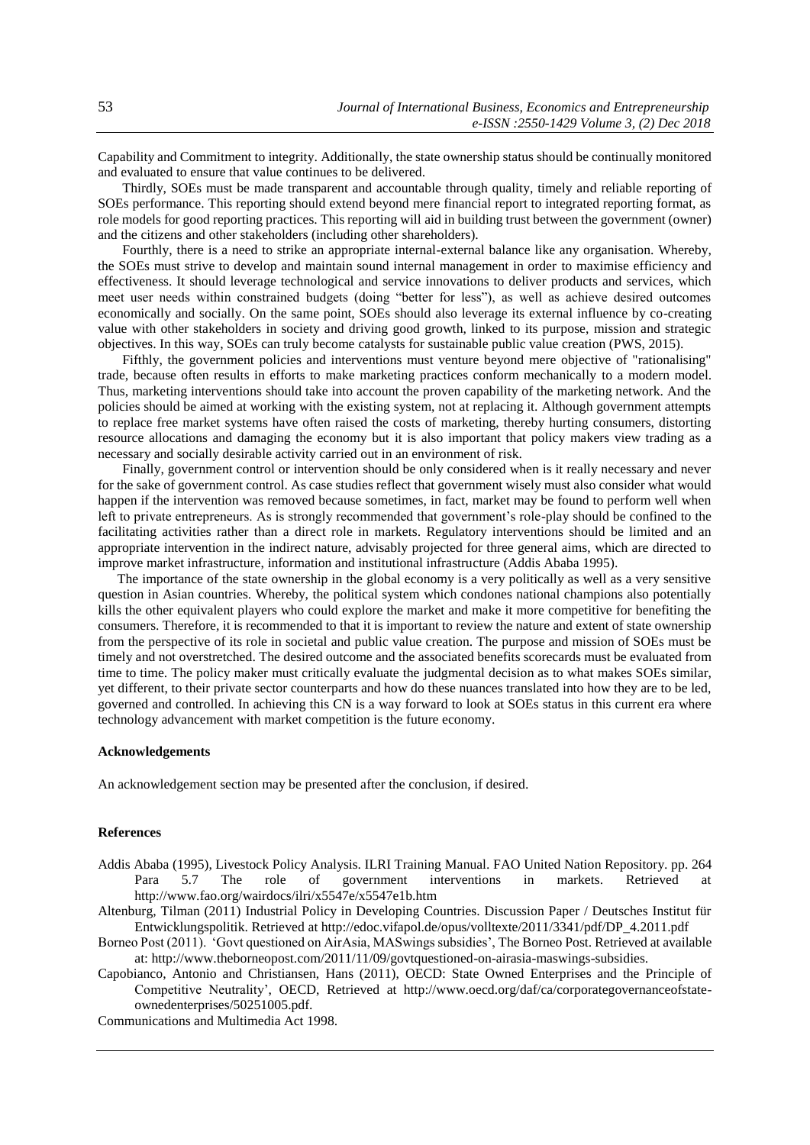Capability and Commitment to integrity. Additionally, the state ownership status should be continually monitored and evaluated to ensure that value continues to be delivered.

Thirdly, SOEs must be made transparent and accountable through quality, timely and reliable reporting of SOEs performance. This reporting should extend beyond mere financial report to integrated reporting format, as role models for good reporting practices. This reporting will aid in building trust between the government (owner) and the citizens and other stakeholders (including other shareholders).

Fourthly, there is a need to strike an appropriate internal-external balance like any organisation. Whereby, the SOEs must strive to develop and maintain sound internal management in order to maximise efficiency and effectiveness. It should leverage technological and service innovations to deliver products and services, which meet user needs within constrained budgets (doing "better for less"), as well as achieve desired outcomes economically and socially. On the same point, SOEs should also leverage its external influence by co-creating value with other stakeholders in society and driving good growth, linked to its purpose, mission and strategic objectives. In this way, SOEs can truly become catalysts for sustainable public value creation (PWS, 2015).

Fifthly, the government policies and interventions must venture beyond mere objective of "rationalising" trade, because often results in efforts to make marketing practices conform mechanically to a modern model. Thus, marketing interventions should take into account the proven capability of the marketing network. And the policies should be aimed at working with the existing system, not at replacing it. Although government attempts to replace free market systems have often raised the costs of marketing, thereby hurting consumers, distorting resource allocations and damaging the economy but it is also important that policy makers view trading as a necessary and socially desirable activity carried out in an environment of risk.

Finally, government control or intervention should be only considered when is it really necessary and never for the sake of government control. As case studies reflect that government wisely must also consider what would happen if the intervention was removed because sometimes, in fact, market may be found to perform well when left to private entrepreneurs. As is strongly recommended that government's role-play should be confined to the facilitating activities rather than a direct role in markets. Regulatory interventions should be limited and an appropriate intervention in the indirect nature, advisably projected for three general aims, which are directed to improve market infrastructure, information and institutional infrastructure (Addis Ababa 1995).

The importance of the state ownership in the global economy is a very politically as well as a very sensitive question in Asian countries. Whereby, the political system which condones national champions also potentially kills the other equivalent players who could explore the market and make it more competitive for benefiting the consumers. Therefore, it is recommended to that it is important to review the nature and extent of state ownership from the perspective of its role in societal and public value creation. The purpose and mission of SOEs must be timely and not overstretched. The desired outcome and the associated benefits scorecards must be evaluated from time to time. The policy maker must critically evaluate the judgmental decision as to what makes SOEs similar, yet different, to their private sector counterparts and how do these nuances translated into how they are to be led, governed and controlled. In achieving this CN is a way forward to look at SOEs status in this current era where technology advancement with market competition is the future economy.

### **Acknowledgements**

An acknowledgement section may be presented after the conclusion, if desired.

### **References**

- Addis Ababa (1995), Livestock Policy Analysis. ILRI Training Manual. FAO United Nation Repository. pp. 264 Para 5.7 The role of government interventions in markets. Retrieved at http://www.fao.org/wairdocs/ilri/x5547e/x5547e1b.htm
- Altenburg, Tilman (2011) Industrial Policy in Developing Countries. Discussion Paper / Deutsches Institut für Entwicklungspolitik. Retrieved at http://edoc.vifapol.de/opus/volltexte/2011/3341/pdf/DP\_4.2011.pdf
- Borneo Post (2011). 'Govt questioned on AirAsia, MASwings subsidies', The Borneo Post. Retrieved at available at: http://www.theborneopost.com/2011/11/09/govtquestioned-on-airasia-maswings-subsidies.

Capobianco, Antonio and Christiansen, Hans (2011), OECD: State Owned Enterprises and the Principle of Competitive Neutrality', OECD, Retrieved at http://www.oecd.org/daf/ca/corporategovernanceofstateownedenterprises/50251005.pdf.

Communications and Multimedia Act 1998.